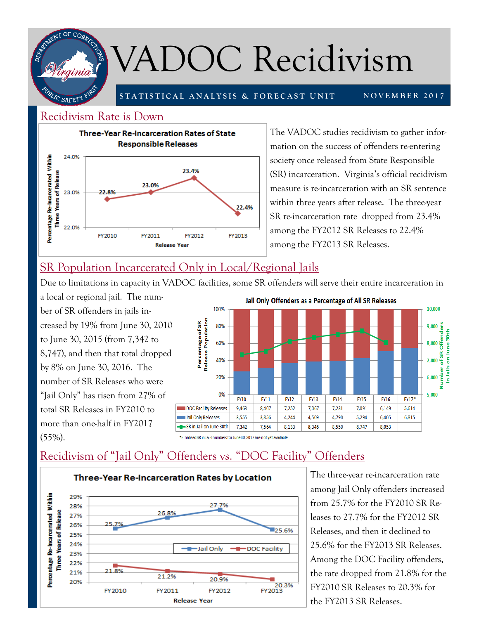

# VADOC Recidivism

**STATISTICAL ANALYSIS & FORECAST UNIT** 

**NOVEMBER 2017** 

#### Recidivism Rate is Down



The VADOC studies recidivism to gather information on the success of offenders re-entering society once released from State Responsible (SR) incarceration. Virginia's official recidivism measure is re-incarceration with an SR sentence within three years after release. The three-year SR re-incarceration rate dropped from 23.4% among the FY2012 SR Releases to 22.4% among the FY2013 SR Releases.

# SR Population Incarcerated Only in Local/Regional Jails

Due to limitations in capacity in VADOC facilities, some SR offenders will serve their entire incarceration in

a local or regional jail. The number of SR offenders in jails increased by 19% from June 30, 2010 to June 30, 2015 (from 7,342 to 8,747), and then that total dropped by 8% on June 30, 2016. The number of SR Releases who were "Jail Only" has risen from 27% of total SR Releases in FY2010 to more than one-half in FY2017 (55%).



\*Finalized SR in Jails numbers for June 30, 2017 are not vet available

## Recidivism of "Jail Only" Offenders vs. "DOC Facility" Offenders



The three-year re-incarceration rate among Jail Only offenders increased from 25.7% for the FY2010 SR Releases to 27.7% for the FY2012 SR Releases, and then it declined to 25.6% for the FY2013 SR Releases. Among the DOC Facility offenders, the rate dropped from 21.8% for the FY2010 SR Releases to 20.3% for the FY2013 SR Releases.